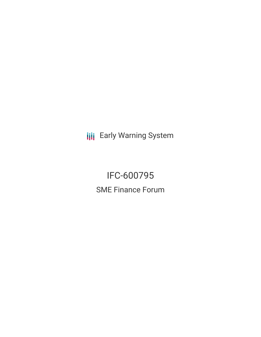**III** Early Warning System

IFC-600795 SME Finance Forum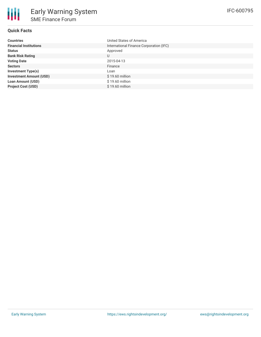# **Quick Facts**

| <b>Countries</b>               | United States of America                |
|--------------------------------|-----------------------------------------|
| <b>Financial Institutions</b>  | International Finance Corporation (IFC) |
| <b>Status</b>                  | Approved                                |
| <b>Bank Risk Rating</b>        | U                                       |
| <b>Voting Date</b>             | 2015-04-13                              |
| <b>Sectors</b>                 | Finance                                 |
| <b>Investment Type(s)</b>      | Loan                                    |
| <b>Investment Amount (USD)</b> | $$19.60$ million                        |
| <b>Loan Amount (USD)</b>       | $$19.60$ million                        |
| <b>Project Cost (USD)</b>      | $$19.60$ million                        |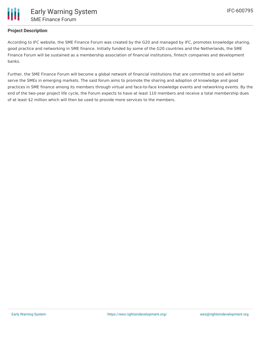## **Project Description**

According to IFC website, the SME Finance Forum was created by the G20 and managed by IFC, promotes knowledge sharing, good practice and networking in SME finance. Initially funded by some of the G20 countries and the Netherlands, the SME Finance Forum will be sustained as a membership association of financial institutions, fintech companies and development banks.

Further, the SME Finance Forum will become a global network of financial institutions that are committed to and will better serve the SMEs in emerging markets. The said forum aims to promote the sharing and adoption of knowledge and good practices in SME finance among its members through virtual and face-to-face knowledge events and networking events. By the end of the two-year project life cycle, the Forum expects to have at least 110 members and receive a total membership dues of at least \$2 million which will then be used to provide more services to the members.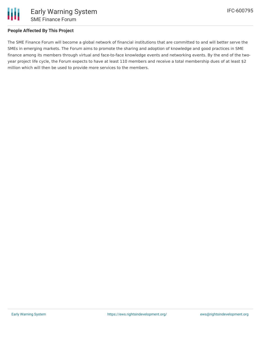

### **People Affected By This Project**

The SME Finance Forum will become a global network of financial institutions that are committed to and will better serve the SMEs in emerging markets. The Forum aims to promote the sharing and adoption of knowledge and good practices in SME finance among its members through virtual and face-to-face knowledge events and networking events. By the end of the twoyear project life cycle, the Forum expects to have at least 110 members and receive a total membership dues of at least \$2 million which will then be used to provide more services to the members.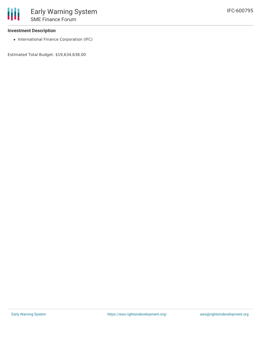• International Finance Corporation (IFC)

Estimated Total Budget: \$19,634,638.00